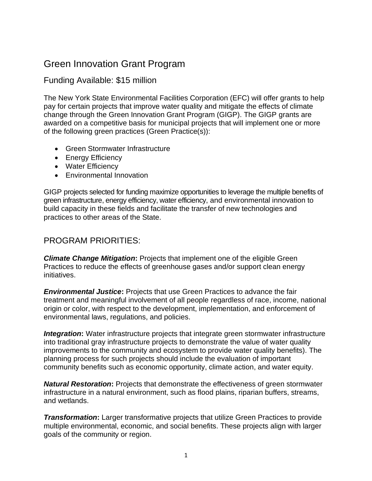# Green Innovation Grant Program

### Funding Available: \$15 million

 The New York State Environmental Facilities Corporation (EFC) will offer grants to help pay for certain projects that improve water quality and mitigate the effects of climate change through the Green Innovation Grant Program (GIGP). The GIGP grants are awarded on a competitive basis for municipal projects that will implement one or more of the following green practices (Green Practice(s)):

- Green Stormwater Infrastructure
- Energy Efficiency
- Water Efficiency
- Environmental Innovation

 GIGP projects selected for funding maximize opportunities to leverage the multiple benefits of green infrastructure, energy efficiency, water efficiency, and environmental innovation to build capacity in these fields and facilitate the transfer of new technologies and practices to other areas of the State.

### PROGRAM PRIORITIES:

 *Climate Change Mitigation***:** Projects that implement one of the eligible Green Practices to reduce the effects of greenhouse gases and/or support clean energy initiatives.

 *Environmental Justice***:** Projects that use Green Practices to advance the fair treatment and meaningful involvement of all people regardless of race, income, national origin or color, with respect to the development, implementation, and enforcement of environmental laws, regulations, and policies.

**Integration:** Water infrastructure projects that integrate green stormwater infrastructure into traditional gray infrastructure projects to demonstrate the value of water quality improvements to the community and ecosystem to provide water quality benefits). The planning process for such projects should include the evaluation of important community benefits such as economic opportunity, climate action, and water equity.

 *Natural Restoration***:** Projects that demonstrate the effectiveness of green stormwater infrastructure in a natural environment, such as flood plains, riparian buffers, streams, and wetlands.

 multiple environmental, economic, and social benefits. These projects align with larger *Transformation:* Larger transformative projects that utilize Green Practices to provide goals of the community or region.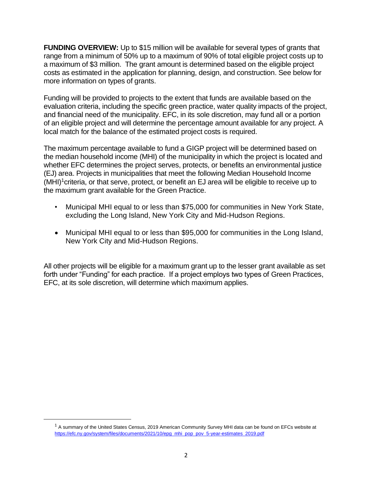**FUNDING OVERVIEW:** Up to \$15 million will be available for several types of grants that range from a minimum of 50% up to a maximum of 90% of total eligible project costs up to a maximum of \$3 million. The grant amount is determined based on the eligible project costs as estimated in the application for planning, design, and construction. See below for more information on types of grants.

 Funding will be provided to projects to the extent that funds are available based on the evaluation criteria, including the specific green practice, water quality impacts of the project, and financial need of the municipality. EFC, in its sole discretion, may fund all or a portion of an eligible project and will determine the percentage amount available for any project. A local match for the balance of the estimated project costs is required.

 The maximum percentage available to fund a GIGP project will be determined based on the median household income (MHI) of the municipality in which the project is located and whether EFC determines the project serves, protects, or benefits an environmental justice (EJ) area. Projects in municipalities that meet the following Median Household Income (MHI) 1criteria, or that serve, protect, or benefit an EJ area will be eligible to receive up to the maximum grant available for the Green Practice.

- • Municipal MHI equal to or less than \$75,000 for communities in New York State, excluding the Long Island, New York City and Mid-Hudson Regions.
- • Municipal MHI equal to or less than \$95,000 for communities in the Long Island, New York City and Mid-Hudson Regions.

 All other projects will be eligible for a maximum grant up to the lesser grant available as set forth under "Funding" for each practice. If a project employs two types of Green Practices, EFC, at its sole discretion, will determine which maximum applies.

 $^1$  A summary of the United States Census, 2019 American Community Survey MHI data can be found on EFCs website at [https://efc.ny.gov/system/files/documents/2021/10/epg\\_mhi\\_pop\\_pov\\_5-year-estimates\\_2019.pdf](https://efc.ny.gov/system/files/documents/2021/10/epg_mhi_pop_pov_5-year-estimates_2019.pdf)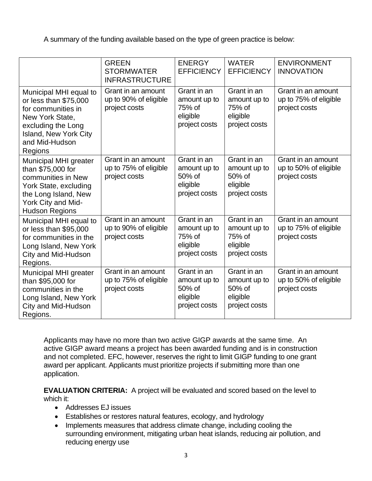A summary of the funding available based on the type of green practice is below:

|                                                                                                                                                                      | <b>GREEN</b><br><b>STORMWATER</b><br><b>INFRASTRUCTURE</b>   | <b>ENERGY</b><br><b>EFFICIENCY</b>                                 | <b>WATER</b><br><b>EFFICIENCY</b>                                  | <b>ENVIRONMENT</b><br><b>INNOVATION</b>                      |
|----------------------------------------------------------------------------------------------------------------------------------------------------------------------|--------------------------------------------------------------|--------------------------------------------------------------------|--------------------------------------------------------------------|--------------------------------------------------------------|
| Municipal MHI equal to<br>or less than \$75,000<br>for communities in<br>New York State,<br>excluding the Long<br>Island, New York City<br>and Mid-Hudson<br>Regions | Grant in an amount<br>up to 90% of eligible<br>project costs | Grant in an<br>amount up to<br>75% of<br>eligible<br>project costs | Grant in an<br>amount up to<br>75% of<br>eligible<br>project costs | Grant in an amount<br>up to 75% of eligible<br>project costs |
| Municipal MHI greater<br>than \$75,000 for<br>communities in New<br>York State, excluding<br>the Long Island, New<br>York City and Mid-<br><b>Hudson Regions</b>     | Grant in an amount<br>up to 75% of eligible<br>project costs | Grant in an<br>amount up to<br>50% of<br>eligible<br>project costs | Grant in an<br>amount up to<br>50% of<br>eligible<br>project costs | Grant in an amount<br>up to 50% of eligible<br>project costs |
| Municipal MHI equal to<br>or less than \$95,000<br>for communities in the<br>Long Island, New York<br>City and Mid-Hudson<br>Regions.                                | Grant in an amount<br>up to 90% of eligible<br>project costs | Grant in an<br>amount up to<br>75% of<br>eligible<br>project costs | Grant in an<br>amount up to<br>75% of<br>eligible<br>project costs | Grant in an amount<br>up to 75% of eligible<br>project costs |
| Municipal MHI greater<br>than \$95,000 for<br>communities in the<br>Long Island, New York<br>City and Mid-Hudson<br>Regions.                                         | Grant in an amount<br>up to 75% of eligible<br>project costs | Grant in an<br>amount up to<br>50% of<br>eligible<br>project costs | Grant in an<br>amount up to<br>50% of<br>eligible<br>project costs | Grant in an amount<br>up to 50% of eligible<br>project costs |

 Applicants may have no more than two active GIGP awards at the same time. An active GIGP award means a project has been awarded funding and is in construction and not completed. EFC, however, reserves the right to limit GIGP funding to one grant award per applicant. Applicants must prioritize projects if submitting more than one application.

 **EVALUATION CRITERIA:** A project will be evaluated and scored based on the level to which it:

- Addresses EJ issues
- Establishes or restores natural features, ecology, and hydrology
- • Implements measures that address climate change, including cooling the surrounding environment, mitigating urban heat islands, reducing air pollution, and reducing energy use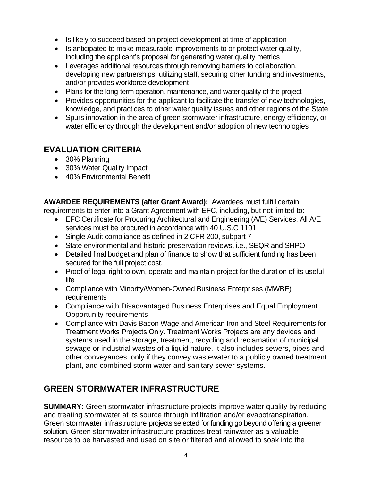- Is likely to succeed based on project development at time of application
- • Is anticipated to make measurable improvements to or protect water quality, including the applicant's proposal for generating water quality metrics
- • Leverages additional resources through removing barriers to collaboration, developing new partnerships, utilizing staff, securing other funding and investments, and/or provides workforce development
- Plans for the long-term operation, maintenance, and water quality of the project
- • Provides opportunities for the applicant to facilitate the transfer of new technologies, knowledge, and practices to other water quality issues and other regions of the State
- • Spurs innovation in the area of green stormwater infrastructure, energy efficiency, or water efficiency through the development and/or adoption of new technologies

## **EVALUATION CRITERIA**

- 30% Planning
- 30% Water Quality Impact
- 40% Environmental Benefit

 **AWARDEE REQUIREMENTS (after Grant Award):** Awardees must fulfill certain requirements to enter into a Grant Agreement with EFC, including, but not limited to:

- • EFC Certificate for Procuring Architectural and Engineering (A/E) Services. All A/E services must be procured in accordance with 40 U.S.C 1101
- Single Audit compliance as defined in 2 CFR 200, subpart 7
- State environmental and historic preservation reviews, i.e., SEQR and SHPO
- • Detailed final budget and plan of finance to show that sufficient funding has been secured for the full project cost.
- • Proof of legal right to own, operate and maintain project for the duration of its useful life
- • Compliance with Minority/Women-Owned Business Enterprises (MWBE) requirements
- • Compliance with Disadvantaged Business Enterprises and Equal Employment Opportunity requirements
- • Compliance with Davis Bacon Wage and American Iron and Steel Requirements for Treatment Works Projects Only. Treatment Works Projects are any devices and systems used in the storage, treatment, recycling and reclamation of municipal sewage or industrial wastes of a liquid nature. It also includes sewers, pipes and other conveyances, only if they convey wastewater to a publicly owned treatment plant, and combined storm water and sanitary sewer systems.

## **GREEN STORMWATER INFRASTRUCTURE**

 and treating stormwater at its source through infiltration and/or evapotranspiration. Green stormwater infrastructure projects selected for funding go beyond offering a greener solution. Green stormwater infrastructure practices treat rainwater as a valuable resource to be harvested and used on site or filtered and allowed to soak into the **SUMMARY:** Green stormwater infrastructure projects improve water quality by reducing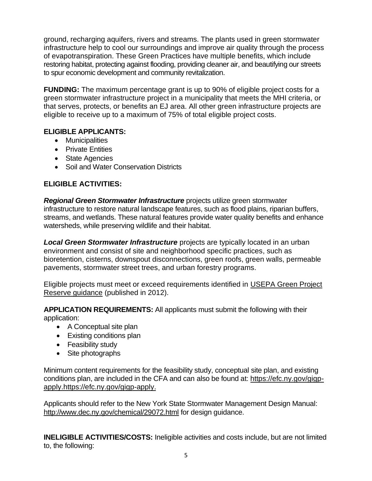ground, recharging aquifers, rivers and streams. The plants used in green stormwater infrastructure help to cool our surroundings and improve air quality through the process of evapotranspiration. These Green Practices have multiple benefits, which include restoring habitat, protecting against flooding, providing cleaner air, and beautifying our streets to spur economic development and community revitalization.

 **FUNDING:** The maximum percentage grant is up to 90% of eligible project costs for a green stormwater infrastructure project in a municipality that meets the MHI criteria, or that serves, protects, or benefits an EJ area. All other green infrastructure projects are eligible to receive up to a maximum of 75% of total eligible project costs.

#### **ELIGIBLE APPLICANTS:**

- Municipalities
- Private Entities
- State Agencies
- Soil and Water Conservation Districts

### **ELIGIBLE ACTIVITIES:**

Regional Green Stormwater Infrastructure projects utilize green stormwater infrastructure to restore natural landscape features, such as flood plains, riparian buffers, streams, and wetlands. These natural features provide water quality benefits and enhance watersheds, while preserving wildlife and their habitat.

Local Green Stormwater Infrastructure projects are typically located in an urban environment and consist of site and neighborhood specific practices, such as bioretention, cisterns, downspout disconnections, green roofs, green walls, permeable pavements, stormwater street trees, and urban forestry programs.

Eligible projects must meet or exceed requirements identified in USEPA Green Project [Reserve guidance](https://www.epa.gov/sites/default/files/2015-04/documents/green_project_reserve_eligibility_guidance.pdf) (published in 2012).

 **APPLICATION REQUIREMENTS:** All applicants must submit the following with their application:

- A Conceptual site plan
- Existing conditions plan
- Feasibility study
- Site photographs

 Minimum content requirements for the feasibility study, conceptual site plan, and existing conditions plan, are included in the CFA and can also be found at: [https://efc.ny.gov/gigp](https://efc.ny.gov/gigp-apply)[apply.https://efc.ny.gov/gigp-apply](https://efc.ny.gov/gigp-apply).

 Applicants should refer to the New York State Stormwater Management Design Manual: <http://www.dec.ny.gov/chemical/29072.html>for design guidance.

 **INELIGIBLE ACTIVITIES/COSTS:** Ineligible activities and costs include, but are not limited to, the following: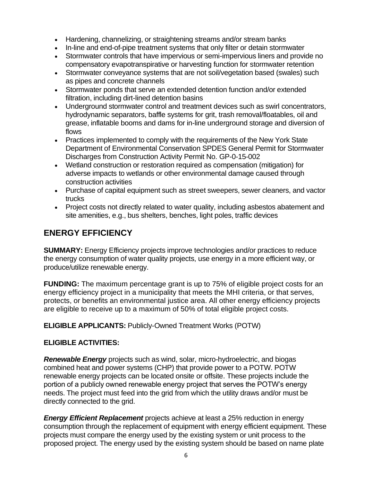- Hardening, channelizing, or straightening streams and/or stream banks
- In-line and end-of-pipe treatment systems that only filter or detain stormwater
- • Stormwater controls that have impervious or semi-impervious liners and provide no compensatory evapotranspirative or harvesting function for stormwater retention
- • Stormwater conveyance systems that are not soil/vegetation based (swales) such as pipes and concrete channels
- • Stormwater ponds that serve an extended detention function and/or extended filtration, including dirt-lined detention basins
- • Underground stormwater control and treatment devices such as swirl concentrators, hydrodynamic separators, baffle systems for grit, trash removal/floatables, oil and grease, inflatable booms and dams for in-line underground storage and diversion of flows
- • Practices implemented to comply with the requirements of the New York State Department of Environmental Conservation SPDES General Permit for Stormwater Discharges from Construction Activity Permit No. GP-0-15-002
- • Wetland construction or restoration required as compensation (mitigation) for adverse impacts to wetlands or other environmental damage caused through construction activities
- • Purchase of capital equipment such as street sweepers, sewer cleaners, and vactor trucks
- • Project costs not directly related to water quality, including asbestos abatement and site amenities, e.g., bus shelters, benches, light poles, traffic devices

## **ENERGY EFFICIENCY**

 **SUMMARY:** Energy Efficiency projects improve technologies and/or practices to reduce the energy consumption of water quality projects, use energy in a more efficient way, or produce/utilize renewable energy.

 **FUNDING:** The maximum percentage grant is up to 75% of eligible project costs for an energy efficiency project in a municipality that meets the MHI criteria, or that serves, protects, or benefits an environmental justice area. All other energy efficiency projects are eligible to receive up to a maximum of 50% of total eligible project costs.

**ELIGIBLE APPLICANTS:** Publicly-Owned Treatment Works (POTW)

#### **ELIGIBLE ACTIVITIES:**

 *Renewable Energy* projects such as wind, solar, micro-hydroelectric, and biogas combined heat and power systems (CHP) that provide power to a POTW. POTW renewable energy projects can be located onsite or offsite. These projects include the portion of a publicly owned renewable energy project that serves the POTW's energy needs. The project must feed into the grid from which the utility draws and/or must be directly connected to the grid.

**Energy Efficient Replacement** projects achieve at least a 25% reduction in energy consumption through the replacement of equipment with energy efficient equipment. These projects must compare the energy used by the existing system or unit process to the proposed project. The energy used by the existing system should be based on name plate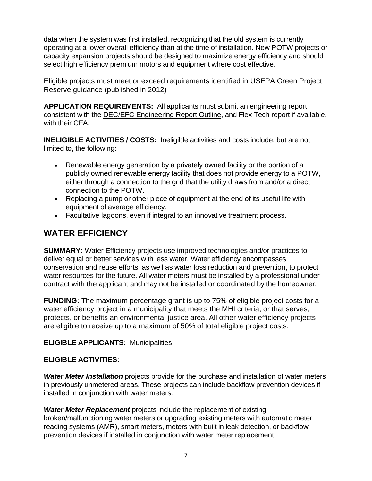data when the system was first installed, recognizing that the old system is currently operating at a lower overall efficiency than at the time of installation. New POTW projects or capacity expansion projects should be designed to maximize energy efficiency and should select high efficiency premium motors and equipment where cost effective.

 Eligible projects must meet or exceed requirements identified in USEPA Green Project Reserve guidance (published in 2012)

 **APPLICATION REQUIREMENTS:** All applicants must submit an engineering report consistent with the **DEC/EFC Engineering Report Outline**, and Flex Tech report if available, with their CFA.

 **INELIGIBLE ACTIVITIES / COSTS:** Ineligible activities and costs include, but are not limited to, the following:

- • Renewable energy generation by a privately owned facility or the portion of a publicly owned renewable energy facility that does not provide energy to a POTW, either through a connection to the grid that the utility draws from and/or a direct connection to the POTW.
- • Replacing a pump or other piece of equipment at the end of its useful life with equipment of average efficiency.
- Facultative lagoons, even if integral to an innovative treatment process.

## **WATER EFFICIENCY**

 **SUMMARY:** Water Efficiency projects use improved technologies and/or practices to deliver equal or better services with less water. Water efficiency encompasses conservation and reuse efforts, as well as water loss reduction and prevention, to protect water resources for the future. All water meters must be installed by a professional under contract with the applicant and may not be installed or coordinated by the homeowner.

 **FUNDING:** The maximum percentage grant is up to 75% of eligible project costs for a water efficiency project in a municipality that meets the MHI criteria, or that serves, protects, or benefits an environmental justice area. All other water efficiency projects are eligible to receive up to a maximum of 50% of total eligible project costs.

#### **ELIGIBLE APPLICANTS:** Municipalities

#### **ELIGIBLE ACTIVITIES:**

**Water Meter Installation** projects provide for the purchase and installation of water meters in previously unmetered areas. These projects can include backflow prevention devices if installed in conjunction with water meters.

**Water Meter Replacement** projects include the replacement of existing broken/malfunctioning water meters or upgrading existing meters with automatic meter reading systems (AMR), smart meters, meters with built in leak detection, or backflow prevention devices if installed in conjunction with water meter replacement.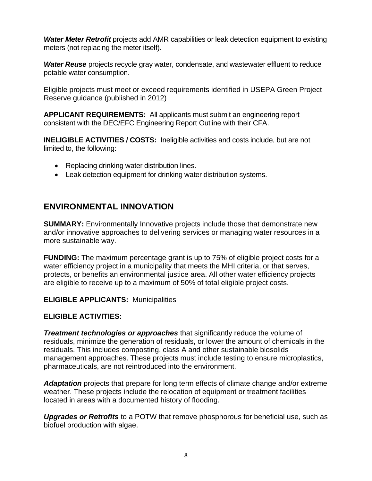**Water Meter Retrofit** projects add AMR capabilities or leak detection equipment to existing meters (not replacing the meter itself).

Water Reuse projects recycle gray water, condensate, and wastewater effluent to reduce potable water consumption.

 Eligible projects must meet or exceed requirements identified in USEPA Green Project Reserve guidance (published in 2012)

 **APPLICANT REQUIREMENTS:** All applicants must submit an engineering report consistent with the DEC/EFC Engineering Report Outline with their CFA.

 **INELIGIBLE ACTIVITIES / COSTS:** Ineligible activities and costs include, but are not limited to, the following:

- Replacing drinking water distribution lines.
- Leak detection equipment for drinking water distribution systems.

### **ENVIRONMENTAL INNOVATION**

 **SUMMARY:** Environmentally Innovative projects include those that demonstrate new and/or innovative approaches to delivering services or managing water resources in a more sustainable way.

 **FUNDING:** The maximum percentage grant is up to 75% of eligible project costs for a water efficiency project in a municipality that meets the MHI criteria, or that serves, protects, or benefits an environmental justice area. All other water efficiency projects are eligible to receive up to a maximum of 50% of total eligible project costs.

**ELIGIBLE APPLICANTS:** Municipalities

#### **ELIGIBLE ACTIVITIES:**

 *Treatment technologies or approaches* that significantly reduce the volume of residuals, minimize the generation of residuals, or lower the amount of chemicals in the management approaches. These projects must include testing to ensure microplastics, pharmaceuticals, are not reintroduced into the environment. residuals. This includes composting, class A and other sustainable biosolids

 *Adaptation* projects that prepare for long term effects of climate change and/or extreme weather. These projects include the relocation of equipment or treatment facilities located in areas with a documented history of flooding.

**Upgrades or Retrofits** to a POTW that remove phosphorous for beneficial use, such as biofuel production with algae.